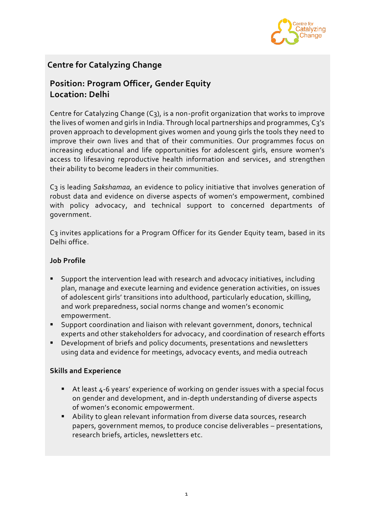

# **Centre for Catalyzing Change**

## **Position: Program Officer, Gender Equity Location: Delhi**

Centre for Catalyzing Change  $(C_3)$ , is a non-profit organization that works to improve the lives of women and girls in India. Through local partnerships and programmes, C3's proven approach to development gives women and young girls the tools they need to improve their own lives and that of their communities. Our programmes focus on increasing educational and life opportunities for adolescent girls, ensure women's access to lifesaving reproductive health information and services, and strengthen their ability to become leaders in their communities.

C3 is leading *Sakshamaa,* an evidence to policy initiative that involves generation of robust data and evidence on diverse aspects of women's empowerment, combined with policy advocacy, and technical support to concerned departments of government.

C3 invites applications for a Program Officer for its Gender Equity team, based in its Delhi office.

### **Job Profile**

- Support the intervention lead with research and advocacy initiatives, including plan, manage and execute learning and evidence generation activities, on issues of adolescent girls' transitions into adulthood, particularly education, skilling, and work preparedness, social norms change and women's economic empowerment.
- Support coordination and liaison with relevant government, donors, technical experts and other stakeholders for advocacy, and coordination of research efforts
- Development of briefs and policy documents, presentations and newsletters using data and evidence for meetings, advocacy events, and media outreach

#### **Skills and Experience**

- At least 4-6 years' experience of working on gender issues with a special focus on gender and development, and in-depth understanding of diverse aspects of women's economic empowerment.
- Ability to glean relevant information from diverse data sources, research papers, government memos, to produce concise deliverables – presentations, research briefs, articles, newsletters etc.